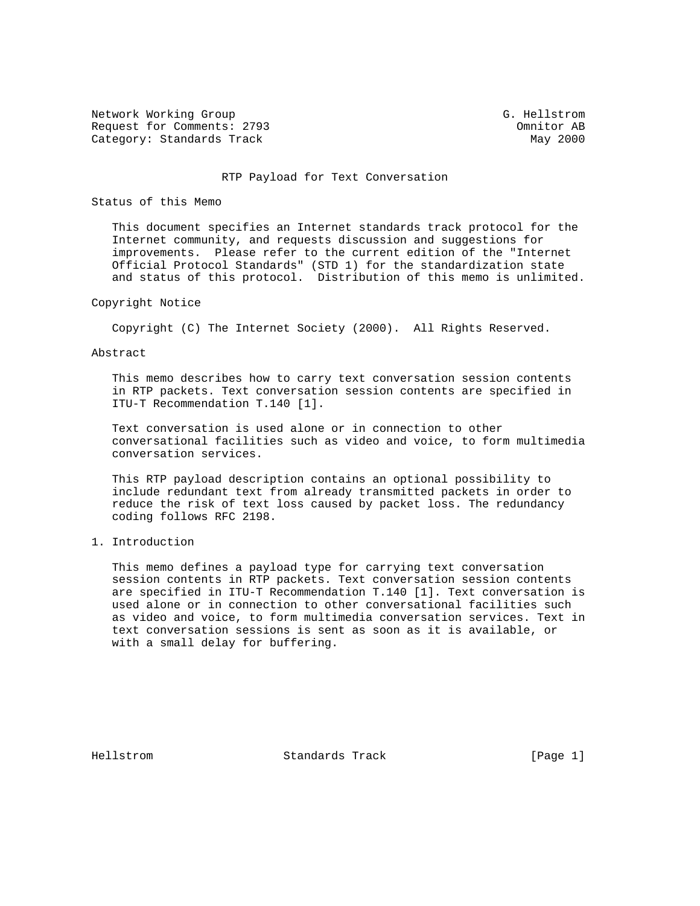Network Working Group G. Hellstrom G. Hellstrom Request for Comments: 2793 Charles and the Commitor AB Category: Standards Track May 2000

#### RTP Payload for Text Conversation

### Status of this Memo

 This document specifies an Internet standards track protocol for the Internet community, and requests discussion and suggestions for improvements. Please refer to the current edition of the "Internet Official Protocol Standards" (STD 1) for the standardization state and status of this protocol. Distribution of this memo is unlimited.

### Copyright Notice

Copyright (C) The Internet Society (2000). All Rights Reserved.

# Abstract

 This memo describes how to carry text conversation session contents in RTP packets. Text conversation session contents are specified in ITU-T Recommendation T.140 [1].

 Text conversation is used alone or in connection to other conversational facilities such as video and voice, to form multimedia conversation services.

 This RTP payload description contains an optional possibility to include redundant text from already transmitted packets in order to reduce the risk of text loss caused by packet loss. The redundancy coding follows RFC 2198.

# 1. Introduction

 This memo defines a payload type for carrying text conversation session contents in RTP packets. Text conversation session contents are specified in ITU-T Recommendation T.140 [1]. Text conversation is used alone or in connection to other conversational facilities such as video and voice, to form multimedia conversation services. Text in text conversation sessions is sent as soon as it is available, or with a small delay for buffering.

Hellstrom Standards Track [Page 1]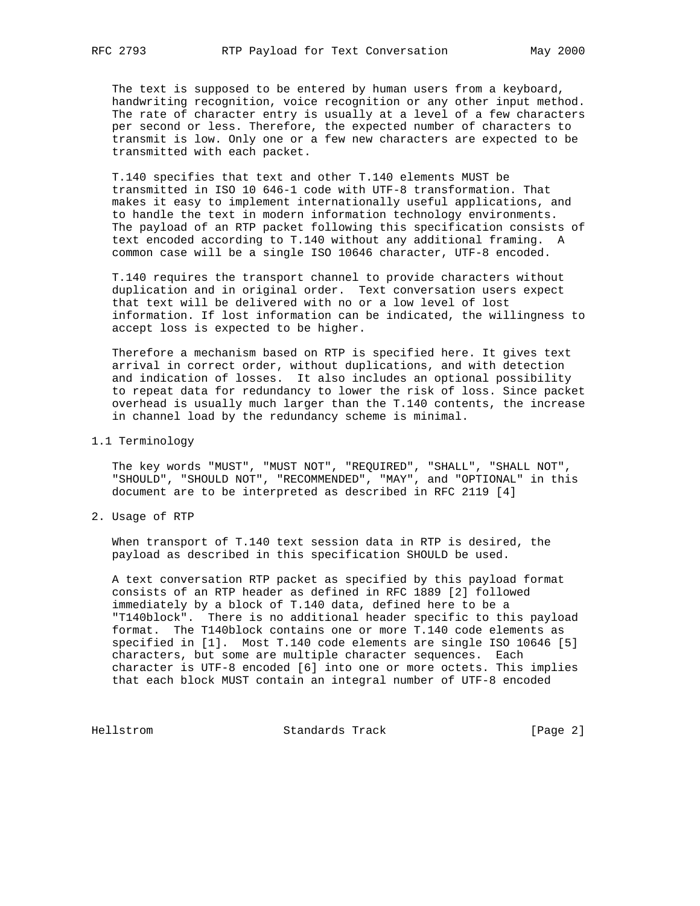The text is supposed to be entered by human users from a keyboard, handwriting recognition, voice recognition or any other input method. The rate of character entry is usually at a level of a few characters per second or less. Therefore, the expected number of characters to transmit is low. Only one or a few new characters are expected to be transmitted with each packet.

 T.140 specifies that text and other T.140 elements MUST be transmitted in ISO 10 646-1 code with UTF-8 transformation. That makes it easy to implement internationally useful applications, and to handle the text in modern information technology environments. The payload of an RTP packet following this specification consists of text encoded according to T.140 without any additional framing. A common case will be a single ISO 10646 character, UTF-8 encoded.

 T.140 requires the transport channel to provide characters without duplication and in original order. Text conversation users expect that text will be delivered with no or a low level of lost information. If lost information can be indicated, the willingness to accept loss is expected to be higher.

 Therefore a mechanism based on RTP is specified here. It gives text arrival in correct order, without duplications, and with detection and indication of losses. It also includes an optional possibility to repeat data for redundancy to lower the risk of loss. Since packet overhead is usually much larger than the T.140 contents, the increase in channel load by the redundancy scheme is minimal.

1.1 Terminology

 The key words "MUST", "MUST NOT", "REQUIRED", "SHALL", "SHALL NOT", "SHOULD", "SHOULD NOT", "RECOMMENDED", "MAY", and "OPTIONAL" in this document are to be interpreted as described in RFC 2119 [4]

2. Usage of RTP

 When transport of T.140 text session data in RTP is desired, the payload as described in this specification SHOULD be used.

 A text conversation RTP packet as specified by this payload format consists of an RTP header as defined in RFC 1889 [2] followed immediately by a block of T.140 data, defined here to be a "T140block". There is no additional header specific to this payload format. The T140block contains one or more T.140 code elements as specified in [1]. Most T.140 code elements are single ISO 10646 [5] characters, but some are multiple character sequences. Each character is UTF-8 encoded [6] into one or more octets. This implies that each block MUST contain an integral number of UTF-8 encoded

Hellstrom Standards Track [Page 2]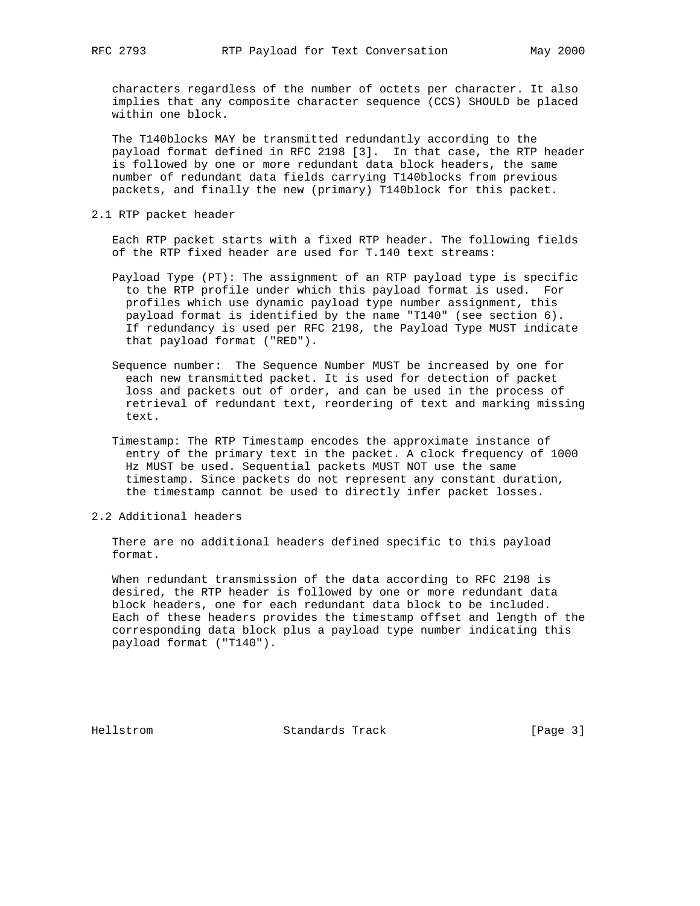characters regardless of the number of octets per character. It also implies that any composite character sequence (CCS) SHOULD be placed within one block.

 The T140blocks MAY be transmitted redundantly according to the payload format defined in RFC 2198 [3]. In that case, the RTP header is followed by one or more redundant data block headers, the same number of redundant data fields carrying T140blocks from previous packets, and finally the new (primary) T140block for this packet.

2.1 RTP packet header

 Each RTP packet starts with a fixed RTP header. The following fields of the RTP fixed header are used for T.140 text streams:

- Payload Type (PT): The assignment of an RTP payload type is specific to the RTP profile under which this payload format is used. For profiles which use dynamic payload type number assignment, this payload format is identified by the name "T140" (see section 6). If redundancy is used per RFC 2198, the Payload Type MUST indicate that payload format ("RED").
- Sequence number: The Sequence Number MUST be increased by one for each new transmitted packet. It is used for detection of packet loss and packets out of order, and can be used in the process of retrieval of redundant text, reordering of text and marking missing text.
- Timestamp: The RTP Timestamp encodes the approximate instance of entry of the primary text in the packet. A clock frequency of 1000 Hz MUST be used. Sequential packets MUST NOT use the same timestamp. Since packets do not represent any constant duration, the timestamp cannot be used to directly infer packet losses.
- 2.2 Additional headers

 There are no additional headers defined specific to this payload format.

 When redundant transmission of the data according to RFC 2198 is desired, the RTP header is followed by one or more redundant data block headers, one for each redundant data block to be included. Each of these headers provides the timestamp offset and length of the corresponding data block plus a payload type number indicating this payload format ("T140").

Hellstrom Standards Track [Page 3]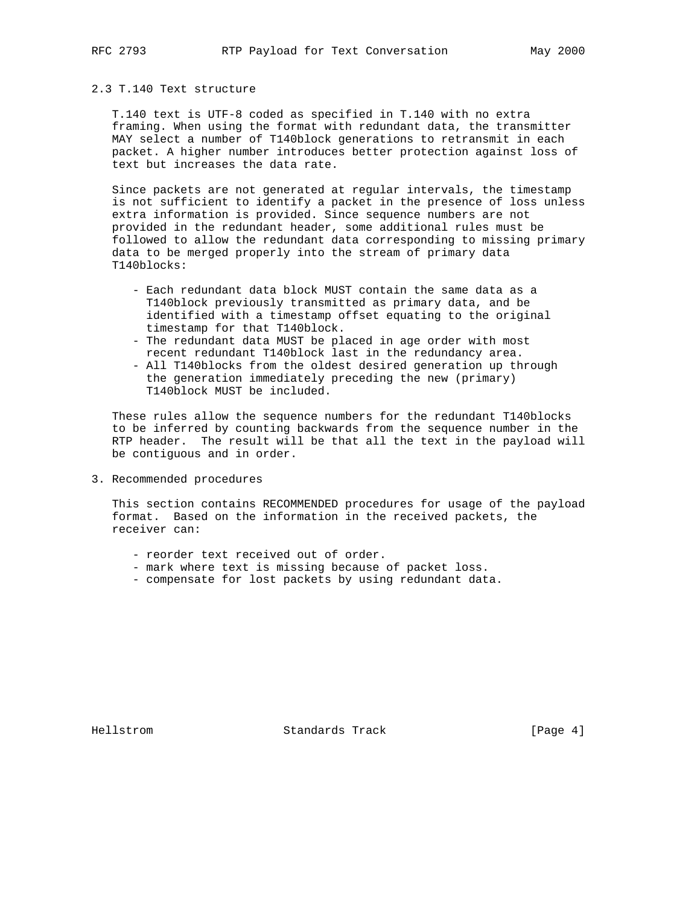# 2.3 T.140 Text structure

 T.140 text is UTF-8 coded as specified in T.140 with no extra framing. When using the format with redundant data, the transmitter MAY select a number of T140block generations to retransmit in each packet. A higher number introduces better protection against loss of text but increases the data rate.

 Since packets are not generated at regular intervals, the timestamp is not sufficient to identify a packet in the presence of loss unless extra information is provided. Since sequence numbers are not provided in the redundant header, some additional rules must be followed to allow the redundant data corresponding to missing primary data to be merged properly into the stream of primary data T140blocks:

- Each redundant data block MUST contain the same data as a T140block previously transmitted as primary data, and be identified with a timestamp offset equating to the original timestamp for that T140block.
- The redundant data MUST be placed in age order with most recent redundant T140block last in the redundancy area.
- All T140blocks from the oldest desired generation up through the generation immediately preceding the new (primary) T140block MUST be included.

 These rules allow the sequence numbers for the redundant T140blocks to be inferred by counting backwards from the sequence number in the RTP header. The result will be that all the text in the payload will be contiguous and in order.

3. Recommended procedures

 This section contains RECOMMENDED procedures for usage of the payload format. Based on the information in the received packets, the receiver can:

- reorder text received out of order.
- mark where text is missing because of packet loss.
- compensate for lost packets by using redundant data.

Hellstrom Standards Track [Page 4]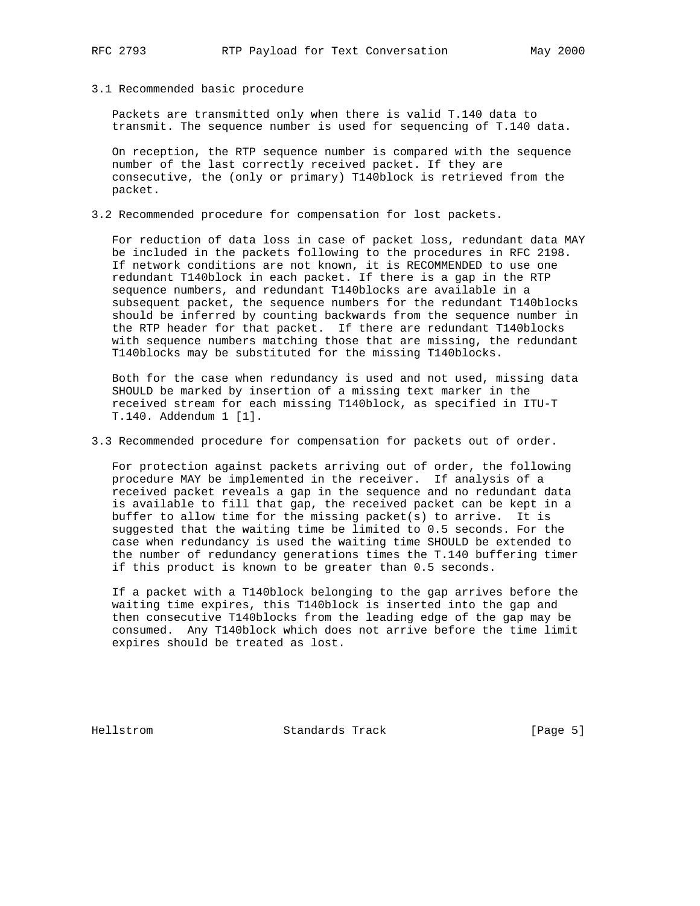3.1 Recommended basic procedure

 Packets are transmitted only when there is valid T.140 data to transmit. The sequence number is used for sequencing of T.140 data.

 On reception, the RTP sequence number is compared with the sequence number of the last correctly received packet. If they are consecutive, the (only or primary) T140block is retrieved from the packet.

3.2 Recommended procedure for compensation for lost packets.

 For reduction of data loss in case of packet loss, redundant data MAY be included in the packets following to the procedures in RFC 2198. If network conditions are not known, it is RECOMMENDED to use one redundant T140block in each packet. If there is a gap in the RTP sequence numbers, and redundant T140blocks are available in a subsequent packet, the sequence numbers for the redundant T140blocks should be inferred by counting backwards from the sequence number in the RTP header for that packet. If there are redundant T140blocks with sequence numbers matching those that are missing, the redundant T140blocks may be substituted for the missing T140blocks.

 Both for the case when redundancy is used and not used, missing data SHOULD be marked by insertion of a missing text marker in the received stream for each missing T140block, as specified in ITU-T T.140. Addendum 1 [1].

3.3 Recommended procedure for compensation for packets out of order.

 For protection against packets arriving out of order, the following procedure MAY be implemented in the receiver. If analysis of a received packet reveals a gap in the sequence and no redundant data is available to fill that gap, the received packet can be kept in a buffer to allow time for the missing packet(s) to arrive. It is suggested that the waiting time be limited to 0.5 seconds. For the case when redundancy is used the waiting time SHOULD be extended to the number of redundancy generations times the T.140 buffering timer if this product is known to be greater than 0.5 seconds.

 If a packet with a T140block belonging to the gap arrives before the waiting time expires, this T140block is inserted into the gap and then consecutive T140blocks from the leading edge of the gap may be consumed. Any T140block which does not arrive before the time limit expires should be treated as lost.

Hellstrom Standards Track [Page 5]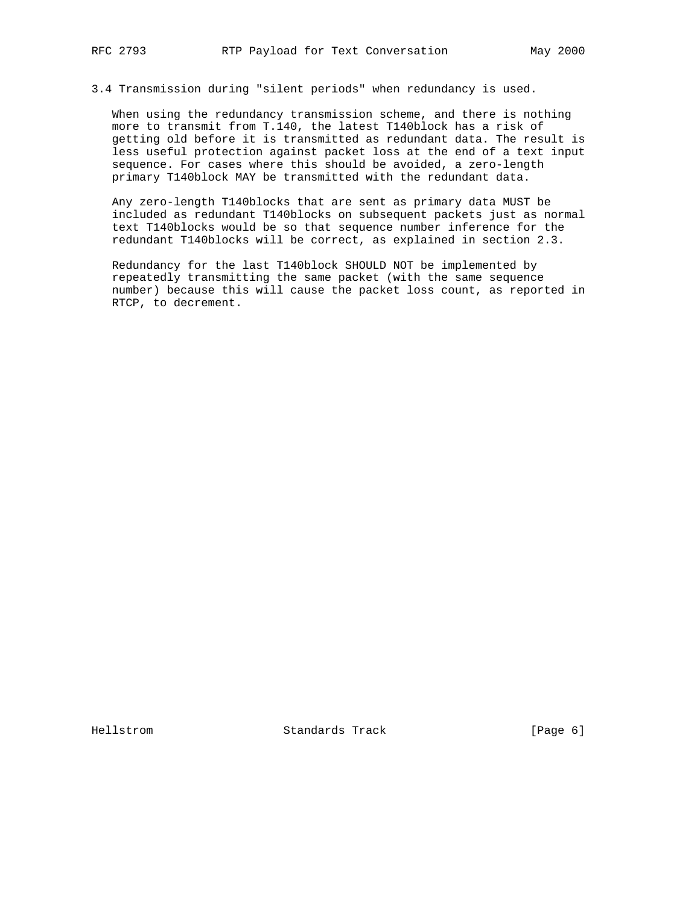3.4 Transmission during "silent periods" when redundancy is used.

 When using the redundancy transmission scheme, and there is nothing more to transmit from T.140, the latest T140block has a risk of getting old before it is transmitted as redundant data. The result is less useful protection against packet loss at the end of a text input sequence. For cases where this should be avoided, a zero-length primary T140block MAY be transmitted with the redundant data.

 Any zero-length T140blocks that are sent as primary data MUST be included as redundant T140blocks on subsequent packets just as normal text T140blocks would be so that sequence number inference for the redundant T140blocks will be correct, as explained in section 2.3.

 Redundancy for the last T140block SHOULD NOT be implemented by repeatedly transmitting the same packet (with the same sequence number) because this will cause the packet loss count, as reported in RTCP, to decrement.

Hellstrom Standards Track [Page 6]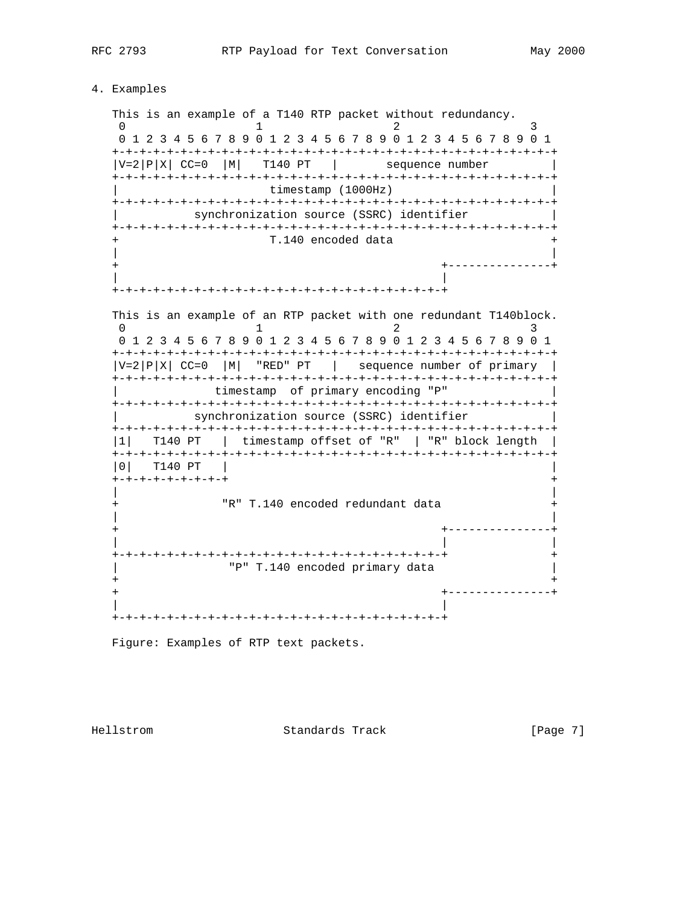#### 4. Examples

 This is an example of a T140 RTP packet without redundancy. 0  $1$   $2$   $3$  0 1 2 3 4 5 6 7 8 9 0 1 2 3 4 5 6 7 8 9 0 1 2 3 4 5 6 7 8 9 0 1 +-+-+-+-+-+-+-+-+-+-+-+-+-+-+-+-+-+-+-+-+-+-+-+-+-+-+-+-+-+-+-+-+  $|V=2|P|X|$  CC=0  $|M|$  T140 PT | sequence number +-+-+-+-+-+-+-+-+-+-+-+-+-+-+-+-+-+-+-+-+-+-+-+-+-+-+-+-+-+-+-+-+ timestamp (1000Hz) +-+-+-+-+-+-+-+-+-+-+-+-+-+-+-+-+-+-+-+-+-+-+-+-+-+-+-+-+-+-+-+-+ synchronization source (SSRC) identifier +-+-+-+-+-+-+-+-+-+-+-+-+-+-+-+-+-+-+-+-+-+-+-+-+-+-+-+-+-+-+-+-+ T.140 encoded data | | + +---------------+ | | +-+-+-+-+-+-+-+-+-+-+-+-+-+-+-+-+-+-+-+-+-+-+-+-+ This is an example of an RTP packet with one redundant T140block. 0  $1$  2 3 0 1 2 3 4 5 6 7 8 9 0 1 2 3 4 5 6 7 8 9 0 1 2 3 4 5 6 7 8 9 0 1 +-+-+-+-+-+-+-+-+-+-+-+-+-+-+-+-+-+-+-+-+-+-+-+-+-+-+-+-+-+-+-+-+  $|V=2|P|X|$  CC=0  $|M|$  "RED" PT | sequence number of primary | +-+-+-+-+-+-+-+-+-+-+-+-+-+-+-+-+-+-+-+-+-+-+-+-+-+-+-+-+-+-+-+-+ timestamp of primary encoding "P" +-+-+-+-+-+-+-+-+-+-+-+-+-+-+-+-+-+-+-+-+-+-+-+-+-+-+-+-+-+-+-+-+ synchronization source (SSRC) identifier +-+-+-+-+-+-+-+-+-+-+-+-+-+-+-+-+-+-+-+-+-+-+-+-+-+-+-+-+-+-+-+-+ |1| T140 PT | timestamp offset of "R" | "R" block length | +-+-+-+-+-+-+-+-+-+-+-+-+-+-+-+-+-+-+-+-+-+-+-+-+-+-+-+-+-+-+-+-+ |0| T140 PT | | +-+-+-+-+-+-+-+-+ + | | "R" T.140 encoded redundant data | | + +---------------+ | | | +-+-+-+-+-+-+-+-+-+-+-+-+-+-+-+-+-+-+-+-+-+-+-+-+ + "P" T.140 encoded primary data + +  $+$  - - - - - - - - - - - - - - + | |

Figure: Examples of RTP text packets.

+-+-+-+-+-+-+-+-+-+-+-+-+-+-+-+-+-+-+-+-+-+-+-+-+

Hellstrom Standards Track [Page 7]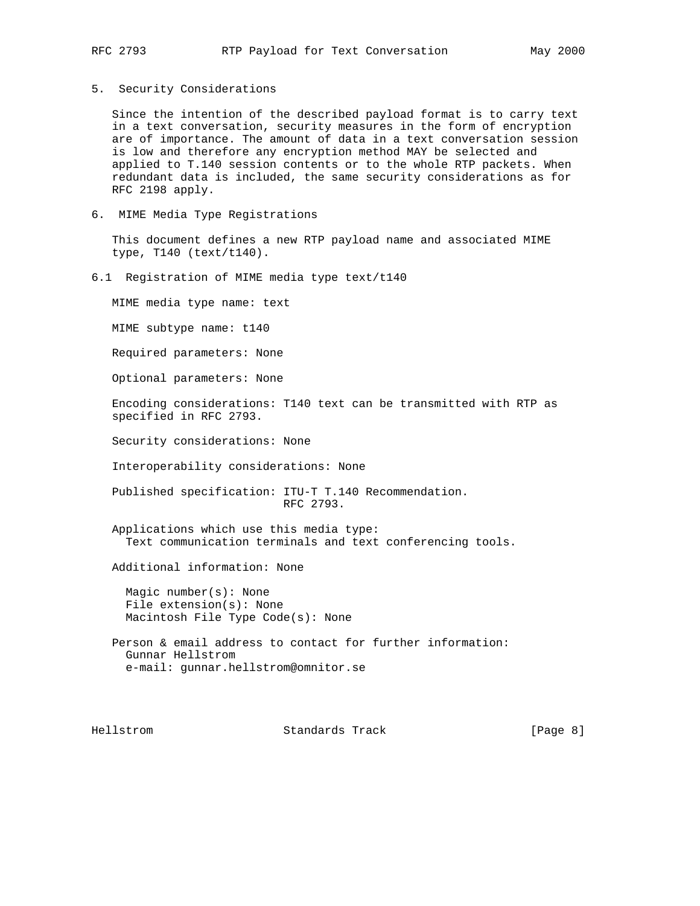5. Security Considerations

 Since the intention of the described payload format is to carry text in a text conversation, security measures in the form of encryption are of importance. The amount of data in a text conversation session is low and therefore any encryption method MAY be selected and applied to T.140 session contents or to the whole RTP packets. When redundant data is included, the same security considerations as for RFC 2198 apply.

6. MIME Media Type Registrations

 This document defines a new RTP payload name and associated MIME type, T140 (text/t140).

6.1 Registration of MIME media type text/t140

MIME media type name: text

MIME subtype name: t140

Required parameters: None

Optional parameters: None

 Encoding considerations: T140 text can be transmitted with RTP as specified in RFC 2793.

Security considerations: None

Interoperability considerations: None

 Published specification: ITU-T T.140 Recommendation. RFC 2793.

 Applications which use this media type: Text communication terminals and text conferencing tools.

Additional information: None

 Magic number(s): None File extension(s): None Macintosh File Type Code(s): None

 Person & email address to contact for further information: Gunnar Hellstrom e-mail: gunnar.hellstrom@omnitor.se

Hellstrom Standards Track [Page 8]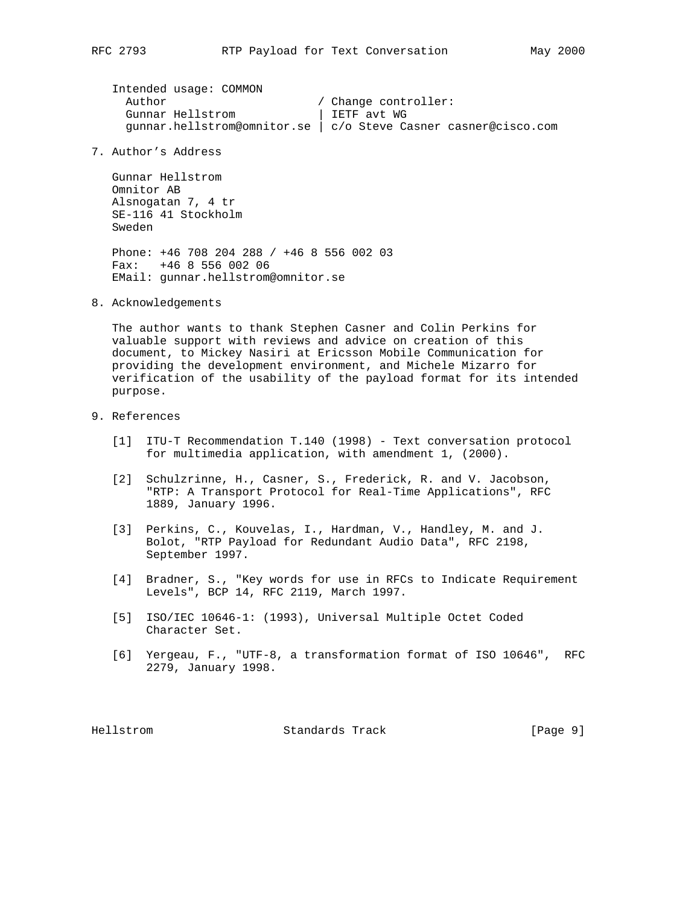Intended usage: COMMON Author / Change controller: Gunnar Hellstrom | IETF avt WG gunnar.hellstrom@omnitor.se | c/o Steve Casner casner@cisco.com

7. Author's Address

 Gunnar Hellstrom Omnitor AB Alsnogatan 7, 4 tr SE-116 41 Stockholm Sweden Phone: +46 708 204 288 / +46 8 556 002 03 Fax: +46 8 556 002 06

EMail: gunnar.hellstrom@omnitor.se

8. Acknowledgements

 The author wants to thank Stephen Casner and Colin Perkins for valuable support with reviews and advice on creation of this document, to Mickey Nasiri at Ericsson Mobile Communication for providing the development environment, and Michele Mizarro for verification of the usability of the payload format for its intended purpose.

- 9. References
	- [1] ITU-T Recommendation T.140 (1998) Text conversation protocol for multimedia application, with amendment 1, (2000).
	- [2] Schulzrinne, H., Casner, S., Frederick, R. and V. Jacobson, "RTP: A Transport Protocol for Real-Time Applications", RFC 1889, January 1996.
	- [3] Perkins, C., Kouvelas, I., Hardman, V., Handley, M. and J. Bolot, "RTP Payload for Redundant Audio Data", RFC 2198, September 1997.
	- [4] Bradner, S., "Key words for use in RFCs to Indicate Requirement Levels", BCP 14, RFC 2119, March 1997.
	- [5] ISO/IEC 10646-1: (1993), Universal Multiple Octet Coded Character Set.
	- [6] Yergeau, F., "UTF-8, a transformation format of ISO 10646", RFC 2279, January 1998.

Hellstrom Standards Track [Page 9]